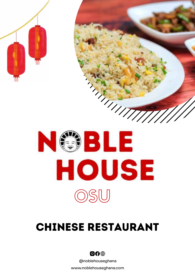



## Chinese restaurant



@noblehouseghana

www.noblehouseghana.com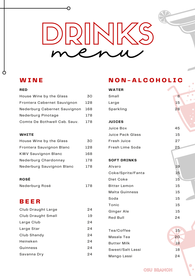## DRINKS menu

O

## **W I N E**

Guinness

Savanna Dry

#### **RED**

O

| House Wine by the Glass      | 30  |
|------------------------------|-----|
| Frontera Cabernet Sauvignon  | 128 |
| Nederburg Cabernet Sauvignon | 168 |
| Nederburg Pinotage           | 178 |
| Comte De Bothwell Cab. Sauv. | 178 |
|                              |     |
| <b>WHITE</b>                 |     |
| House Wine by the Glass      | 30  |
| Frontera Sauvignon Blanc     | 128 |
| <b>KWV Sauvignon Blanc</b>   | 168 |
| <b>Nederburg Chardonnay</b>  | 178 |
| Nederburg Sauvignon Blanc    | 178 |
|                              |     |
| <b>ROSÉ</b>                  |     |
| Nederburg Rosé               | 178 |
|                              |     |
| BEER                         |     |
| <b>Club Draught Large</b>    | 24  |
|                              | 19  |
| <b>Club Draught Small</b>    |     |
| Large Club                   | 24  |
| Large Star                   | 24  |
| Club Shandy                  | 24  |
| Heineken                     | 24  |

24 24

## **N O N - A L C O H O L I C**

| <b>WATER</b>            |    |
|-------------------------|----|
| Small                   | 8  |
| Large                   | 15 |
| Sparkling               | 28 |
|                         |    |
| <b>JUICES</b>           |    |
| Juice Box               | 45 |
| <b>Juice Pack Glass</b> | 15 |
| Fresh Juice             | 27 |
| Fresh Lime Soda         | 25 |
|                         |    |
| <b>SOFT DRINKS</b>      |    |
| Alvaro                  | 19 |
| Coke/Sprite/Fanta       | 15 |
| Diet Coke               | 15 |
| <b>Bitter Lemon</b>     | 15 |
| <b>Malta Guinness</b>   | 15 |
| Soda                    | 15 |
| Tonic                   | 15 |
| Ginger Ale              | 15 |
| <b>Red Bull</b>         | 24 |
|                         |    |
| Tea/Coffee              | 15 |
| Masala Tea              | 20 |
| <b>Butter Milk</b>      | 18 |
| <b>Sweet/Salt Lassi</b> | 18 |
| Mango Lassi             | 24 |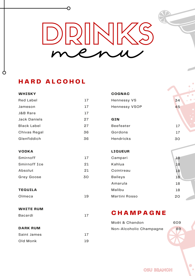## DRINKS menu

## **H A R D A L C O H O L**

Ò

O

| <b>WHISKY</b>       |    | <b>COGNAC</b>           |     |
|---------------------|----|-------------------------|-----|
| <b>Red Label</b>    | 17 | <b>Hennessy VS</b>      | 34  |
| Jameson             | 17 | <b>Hennessy VSOP</b>    | 45  |
| J&B Rare            | 17 |                         |     |
| <b>Jack Daniels</b> | 27 | GIN                     |     |
| <b>Black Label</b>  | 27 | <b>Beefeater</b>        | 17  |
| Chivas Regal        | 36 | Gordons                 | 17  |
| Glenfiddich         | 36 | <b>Hendricks</b>        | 30  |
|                     |    |                         |     |
| <b>VODKA</b>        |    | <b>LIQUEUR</b>          |     |
| Smirnoff            | 17 | Campari                 | 18  |
| <b>Smirnoff Ice</b> | 21 | Kahlua                  | 18  |
| Absolut             | 21 | Cointreau               | 18  |
| <b>Grey Goose</b>   | 30 | <b>Baileys</b>          | 18  |
|                     |    | Amarula                 | 18  |
| <b>TEQUILA</b>      |    | Malibu                  | 18  |
| Olmeca              | 19 | <b>Martini Rosso</b>    | 20  |
|                     |    |                         |     |
| <b>WHITE RUM</b>    |    |                         |     |
| Bacardi             | 17 | CHAMPAGNE               |     |
|                     |    | Moët & Chandon          | 609 |
| <b>DARK RUM</b>     |    | Non-Alcoholic Champagne | 89  |
| Saint James         | 17 |                         |     |
| Old Monk            | 19 |                         |     |

OSU BRANCH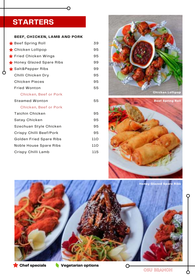## **STARTERS**

## **BEEF, CHICKEN, LAMB AND PORK**

 $\overline{\mathsf{C}}$ 

| Beef Spring Roll               | 39  |
|--------------------------------|-----|
| Chicken Lollipop               | 95  |
| Fried Chicken Wings            | 95  |
| Honey Glazed Spare Ribs        | 99  |
| Salt&Pepper Ribs               | 99  |
| Chilli Chicken Dry             | 95  |
| <b>Chicken Pieces</b>          | 95  |
| <b>Fried Wonton</b>            | 55  |
| <b>Chicken, Beef or Pork</b>   |     |
| <b>Steamed Wonton</b>          | 55  |
| <b>Chicken, Beef or Pork</b>   |     |
| Taichin Chicken                | 95  |
| Satay Chicken                  | 95  |
| Szechuan Style Chicken         | 95  |
| Crispy Chilli Beef/Pork        | 95  |
| <b>Golden Fried Spare Ribs</b> | 110 |
| <b>Noble House Spare Ribs</b>  | 110 |
| Crispy Chilli Lamb             | 115 |









OSU BRANCH

 $\mathsf{\mathcal{S}}$ 

O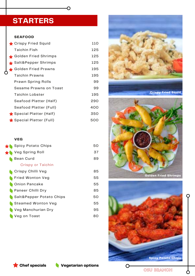## **STARTERS**

#### **SEAFOOD**

| Crispy Fried Squid     | 110 |
|------------------------|-----|
| <b>Taichin Fish</b>    | 125 |
| Golden Fried Shrimps   | 125 |
| Salt&Pepper Shrimps    | 125 |
| Golden Fried Prawns    | 195 |
| Taichin Prawns         | 195 |
| Prawn Spring Rolls     | 99  |
| Sesame Prawns on Toast | 99  |
| <b>Taichin Lobster</b> | 195 |
| Seafood Platter (Half) | 290 |
| Seafood Platter (Full) | 400 |
| Special Platter (Half) | 350 |
| Special Platter (Full) | 500 |

 $\overline{O}$ 

### **VEG**

| <b>Spicy Potato Chips</b> | 50 |
|---------------------------|----|
| Veg Spring Roll           | 37 |
| <b>Bean Curd</b>          | 89 |
| <b>Crispy or Taichin</b>  |    |
| Crispy Chilli Veg         | 85 |
| <b>Fried Wonton Veg</b>   | 55 |
| <b>Onion Pancake</b>      | 55 |
| Paneer Chilli Dry         | 85 |
| Salt&Pepper Potato Chips  | 50 |
| <b>Steamed Wonton Veg</b> | 55 |
| Veg Manchurian Dry        | 95 |
| Veg on Toast              | 80 |







 $\bigcirc$ 

OSU BRANCH

<u>ዕ</u>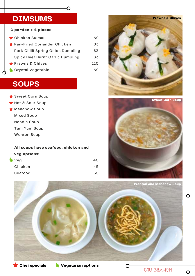## **DIMSUMS**

|  |  |  |  |  |  |  | <b>1 portion = 4 pieces</b> |  |  |  |  |  |  |
|--|--|--|--|--|--|--|-----------------------------|--|--|--|--|--|--|
|--|--|--|--|--|--|--|-----------------------------|--|--|--|--|--|--|

| Chicken Suimai                    | 52  |
|-----------------------------------|-----|
| Pan-Fried Coriander Chicken       | 63  |
| Pork Chilli Spring Onion Dumpling | 63  |
| Spicy Beef Burnt Garlic Dumpling  | 63  |
| Prawns & Chives                   | 110 |
| <b>Crystal Vegetable</b>          | 52  |
|                                   |     |

 $\overline{\mathrm{O}}$ 

## **SOUPS**

O

Sweet Corn Soup

- Hot & Sour Soup
- **Manchow Soup** 
	- Mixed Soup
	- Noodle Soup
	- Tum Yum Soup
	- Wonton Soup

## **All soups have seafood, chicken and veg options:**

| <b>Veg</b> | 40  |
|------------|-----|
| Chicken    | 45. |
| Seafood    | 55  |







**Chef specials Vegetarian options**

Ò

O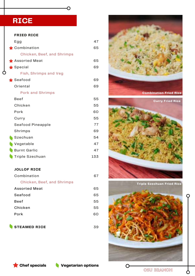## **RICE**

| <b>FRIED RICE</b>                 |     |
|-----------------------------------|-----|
| Egg                               | 47  |
| Combination                       | 65  |
| <b>Chicken, Beef, and Shrimps</b> |     |
| Assorted Meat                     | 65  |
| $\bigstar$ Special                | 69  |
| Fish, Shrimps and Veg             |     |
| $\blacktriangleright$ Seafood     | 69  |
| Oriental                          | 69  |
| <b>Pork and Shrimps</b>           |     |
| <b>Beef</b>                       | 55  |
| Chicken                           | 55  |
| Pork                              | 60  |
| Curry                             | 55  |
| Seafood Pineapple                 | 77  |
| Shrimps                           | 69  |
| Szechuan                          | 54  |
| Vegetable                         | 47  |
| <b>Burnt Garlic</b>               | 47  |
| <b>Triple Szechuan</b>            | 133 |
|                                   |     |

 $\overline{O}$ 

## **JOLLOF RICE**

| Combination                       |    |
|-----------------------------------|----|
| <b>Chicken, Beef, and Shrimps</b> |    |
| <b>Assorted Meat</b>              | 65 |
| Seafood                           | 65 |
| Beef                              | 55 |
| Chicken                           | 55 |
| Pork                              | 60 |
|                                   |    |

**STEAMED RICE** 





**Triple Szechuan Fried Rice**



39

OSU BRANCH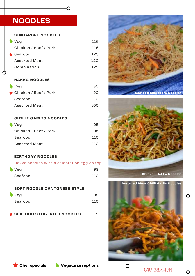## **NOODLES**

**SINGAPORE NOODLES**

| Veg                   | 116 |
|-----------------------|-----|
| Chicken / Beef / Pork | 116 |
| $\bigstar$ Seafood    | 125 |
| Assorted Meat         | 120 |
| Combination           | 125 |

O

#### **HAKKA NOODLES**

| $\sqrt{V}$ eg           | 90  |
|-------------------------|-----|
| ★ Chicken / Beef / Pork | 90  |
| Seafood                 | חוו |
| <b>Assorted Meat</b>    | 105 |

#### **CHILLI GARLIC NOODLES**

| $\blacktriangledown$ Veg | 95  |
|--------------------------|-----|
| Chicken / Beef / Pork    | 95  |
| Seafood                  | 115 |
| <b>Assorted Meat</b>     | חוו |

#### **BIRTHDAY NOODLES**

#### Hakka noodles with a celebration egg on top

| Veg     | 99  |
|---------|-----|
| Seafood | 110 |

#### **SOFT NOODLE CANTONESE STYLE**

| Veg     | 99  |
|---------|-----|
| Seafood | 115 |

**SEAFOOD STIR-FRIED NOODLES** 115





**Chicken Hakka Noodles**

**Assorted Meat Chilli Garlic Noodles**



**Chef specials Vegetarian options**

Ô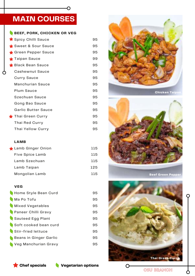## **MAIN COURSES**

 $\overline{\mathsf{C}}$ 

|  | BEEF, PORK, CHICKEN OR VEG |  |
|--|----------------------------|--|
|  |                            |  |

| Spicy Chilli Sauce         | 95 |
|----------------------------|----|
| Sweet & Sour Sauce         | 95 |
| Green Pepper Sauce         | 95 |
| Taipan Sauce               | 99 |
| Black Bean Sauce           | 95 |
| <b>Cashewnut Sauce</b>     | 95 |
| <b>Curry Sauce</b>         | 95 |
| <b>Manchurian Sauce</b>    | 95 |
| <b>Plum Sauce</b>          | 95 |
| Szechuan Sauce             | 95 |
| Gong Bao Sauce             | 95 |
| <b>Garlic Butter Sauce</b> | 95 |
| Thai Green Curry           | 95 |
| Thai Red Curry             | 95 |
| Thai Yellow Curry          | 95 |

## **LAMB**

C

| Lamb Ginger Onion | 115 |
|-------------------|-----|
| Five Spice Lamb   | 115 |
| Lamb Szechuan     | 115 |
| Lamb Taipan       | 125 |
| Mongolian Lamb    | 115 |

### **VEG**

| Home Style Bean Curd    | 95 |
|-------------------------|----|
| Ma Po Tofu              | 95 |
| <b>Mixed Vegetables</b> | 95 |
| Paneer Chilli Gravy     | 95 |
| Sauteed Egg Plant       | 95 |
| Soft cooked bean curd   | 95 |
| Stir-fried lettuce      | 95 |
| Beans in Ginger Garlic  | 95 |
| Veg Manchurian Gravy    | 95 |



**Chicken Taipan**



**Beef Green Pepper**



C

**Chef specials Vegetarian options**

OSU BRANCH

<u>ዕ</u>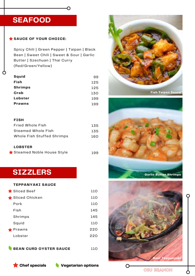## **SEAFOOD**

### SAUCE OF YOUR CHOICE:

Spicy Chili | Green Pepper | Taipan | Black Bean | Sweet Chili | Sweet & Sour | Garlic Butter | Szechuan | Thai Curry (Red/Green/Yellow)

O

| <b>Squid</b>   | 99  |
|----------------|-----|
| <b>Fish</b>    | 125 |
| <b>Shrimps</b> | 125 |
| Crab           | 130 |
| Lobster        | 199 |
| <b>Prawns</b>  | 199 |

#### **FISH**

| <b>Fried Whole Fish</b>    | 135 |
|----------------------------|-----|
| Steamed Whole Fish         | 135 |
| Whole Fish Stuffed Shrimps | 160 |

**LOBSTER**

| Steamed Noble House Style |  | 199 |
|---------------------------|--|-----|
|                           |  |     |

## **SIZZLERS**

#### **TEPPANYAKI SAUCE**

| Sliced Beef       | 110 |
|-------------------|-----|
| Sliced Chicken    | 110 |
| Pork              | 110 |
| Fish              | 145 |
| Shrimps           | 145 |
| Squid             | 110 |
| $\bigstar$ Prawns | 220 |
| Lobster           | 220 |
|                   |     |

**BEAN CURD OYSTER SAUCE**









110

OSU BRANCH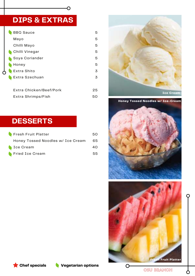## **DIPS & EXTRAS**

| <b>BBQ Sauce</b>        | 5  |
|-------------------------|----|
| Mayo                    | 5  |
| Chilli Mayo             | 5  |
| Chilli Vinegar          | 5  |
| Soya Coriander          | 5  |
| Honey                   | 5  |
| Extra Shito             | 3  |
| Extra Szechuan          | 3  |
|                         |    |
| Extra Chicken/Beef/Pork | 25 |
| Extra Shrimps/Fish      | 50 |

 $\overline{\mathsf{C}}$ 

## **DESSERTS**

| Fresh Fruit Platter               | 50. |
|-----------------------------------|-----|
| Honey Tossed Noodles w/ Ice Cream | -65 |
| Sce Cream                         | 40. |
| Fried Ice Cream                   | 55. |



**Honey Tossed Noodles w/ Ice-Cream**







OSU BRANCH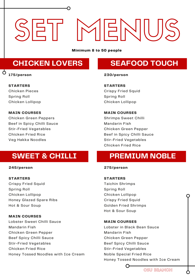# SET MENIU

**Minimum 8 to 50 people**

## **CHICKEN LOVERS**

## **175/person**

 $\Delta$ 

## **SEAFOOD TOUCH**

**STARTERS**

Chicken Pieces Spring Roll Chicken Lollipop

### **MAIN COURSES**

Chicken Green Peppers Beef in Spicy Chilli Sauce Stir-Fried Vegetables Chicken Fried Rice Veg Hakka Noodles

## **SWEET & CHILLI**

#### **245/person**

#### **STARTERS**

Crispy Fried Squid Spring Roll Chicken Lollipop Honey Glazed Spare Ribs Hot & Sour Soup

#### **MAIN COURSES**

Lobster Sweet Chilli Sauce Mandarin Fish Chicken Green Pepper Beef Spicy Chilli Sauce Stir-Fried Vegetables Chicken Fried Rice Honey Tossed Noodles with Ice Cream

#### **230/person**

**STARTERS** Crispy Fried Squid Spring Roll Chicken Lollipop

#### **MAIN COURSES**

Shrimps Sweet Chilli Mandarin Fish Chicken Green Pepper Beef in Spicy Chilli Sauce Stir-Fried Vegetables Chicken Fried Rice

## **PREMIUM NOBLE**

#### **275/person**

## **STARTERS** Taichin Shrimps Spring Roll Chicken Lollipop Crispy Fried Squid Golden Fried Shrimps Hot & Sour Soup

#### **MAIN COURSES**

Lobster in Black Bean Sauce Mandarin Fish Chicken Green Pepper Beef Spicy Chilli Sauce Stir-Fried Vegetables Noble Special Fried Rice Honey Tossed Noodles with Ice Cream

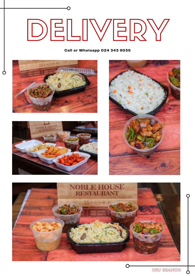# DELIVERY

**Call or Whatsapp 024 343 9035**



O